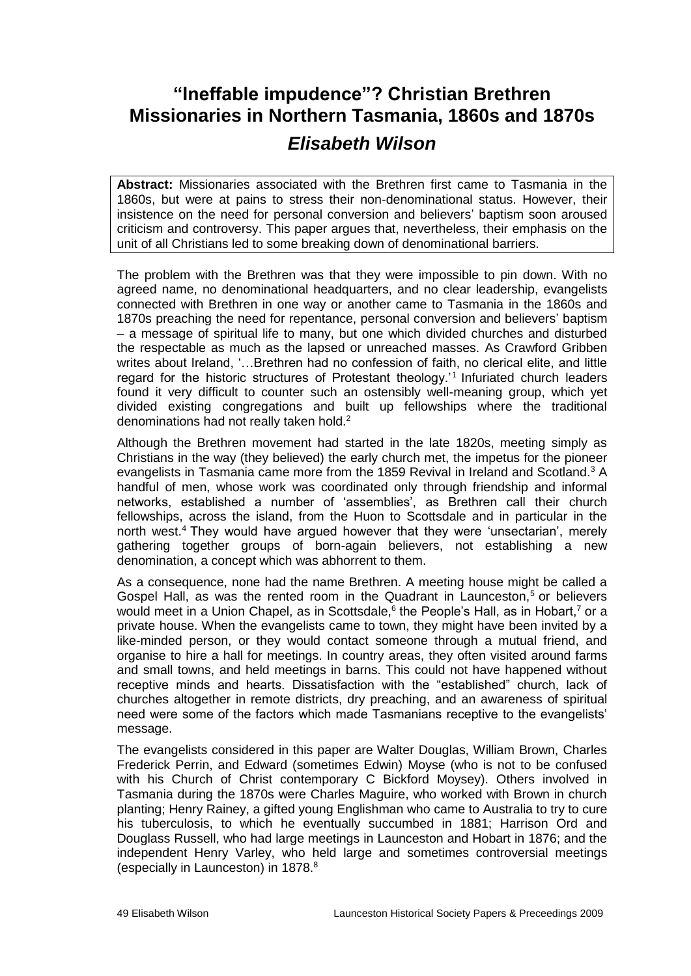## **"Ineffable impudence"? Christian Brethren Missionaries in Northern Tasmania, 1860s and 1870s** *Elisabeth Wilson*

**Abstract:** Missionaries associated with the Brethren first came to Tasmania in the 1860s, but were at pains to stress their non-denominational status. However, their insistence on the need for personal conversion and believers' baptism soon aroused criticism and controversy. This paper argues that, nevertheless, their emphasis on the unit of all Christians led to some breaking down of denominational barriers.

The problem with the Brethren was that they were impossible to pin down. With no agreed name, no denominational headquarters, and no clear leadership, evangelists connected with Brethren in one way or another came to Tasmania in the 1860s and 1870s preaching the need for repentance, personal conversion and believers' baptism – a message of spiritual life to many, but one which divided churches and disturbed the respectable as much as the lapsed or unreached masses. As Crawford Gribben writes about Ireland, '…Brethren had no confession of faith, no clerical elite, and little regard for the historic structures of Protestant theology.'<sup>1</sup> Infuriated church leaders found it very difficult to counter such an ostensibly well-meaning group, which yet divided existing congregations and built up fellowships where the traditional denominations had not really taken hold.<sup>2</sup>

Although the Brethren movement had started in the late 1820s, meeting simply as Christians in the way (they believed) the early church met, the impetus for the pioneer evangelists in Tasmania came more from the 1859 Revival in Ireland and Scotland.<sup>3</sup> A handful of men, whose work was coordinated only through friendship and informal networks, established a number of 'assemblies', as Brethren call their church fellowships, across the island, from the Huon to Scottsdale and in particular in the north west.<sup>4</sup> They would have argued however that they were 'unsectarian', merely gathering together groups of born-again believers, not establishing a new denomination, a concept which was abhorrent to them.

As a consequence, none had the name Brethren. A meeting house might be called a Gospel Hall, as was the rented room in the Quadrant in Launceston, $5$  or believers would meet in a Union Chapel, as in Scottsdale,<sup>6</sup> the People's Hall, as in Hobart,<sup>7</sup> or a private house. When the evangelists came to town, they might have been invited by a like-minded person, or they would contact someone through a mutual friend, and organise to hire a hall for meetings. In country areas, they often visited around farms and small towns, and held meetings in barns. This could not have happened without receptive minds and hearts. Dissatisfaction with the "established" church, lack of churches altogether in remote districts, dry preaching, and an awareness of spiritual need were some of the factors which made Tasmanians receptive to the evangelists' message.

The evangelists considered in this paper are Walter Douglas, William Brown, Charles Frederick Perrin, and Edward (sometimes Edwin) Moyse (who is not to be confused with his Church of Christ contemporary C Bickford Moysey). Others involved in Tasmania during the 1870s were Charles Maguire, who worked with Brown in church planting; Henry Rainey, a gifted young Englishman who came to Australia to try to cure his tuberculosis, to which he eventually succumbed in 1881; Harrison Ord and Douglass Russell, who had large meetings in Launceston and Hobart in 1876; and the independent Henry Varley, who held large and sometimes controversial meetings (especially in Launceston) in 1878.<sup>8</sup>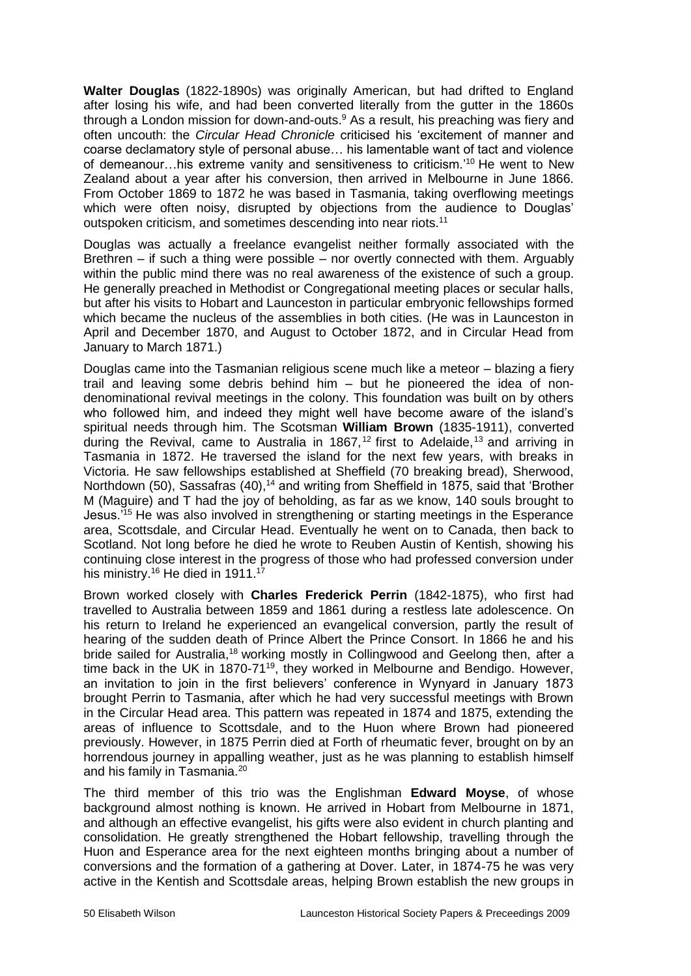**Walter Douglas** (1822-1890s) was originally American, but had drifted to England after losing his wife, and had been converted literally from the gutter in the 1860s through a London mission for down-and-outs.<sup>9</sup> As a result, his preaching was fiery and often uncouth: the *Circular Head Chronicle* criticised his 'excitement of manner and coarse declamatory style of personal abuse… his lamentable want of tact and violence of demeanour…his extreme vanity and sensitiveness to criticism.'<sup>10</sup> He went to New Zealand about a year after his conversion, then arrived in Melbourne in June 1866. From October 1869 to 1872 he was based in Tasmania, taking overflowing meetings which were often noisy, disrupted by objections from the audience to Douglas' outspoken criticism, and sometimes descending into near riots.<sup>11</sup>

Douglas was actually a freelance evangelist neither formally associated with the Brethren – if such a thing were possible – nor overtly connected with them. Arguably within the public mind there was no real awareness of the existence of such a group. He generally preached in Methodist or Congregational meeting places or secular halls, but after his visits to Hobart and Launceston in particular embryonic fellowships formed which became the nucleus of the assemblies in both cities. (He was in Launceston in April and December 1870, and August to October 1872, and in Circular Head from January to March 1871.)

Douglas came into the Tasmanian religious scene much like a meteor – blazing a fiery trail and leaving some debris behind him – but he pioneered the idea of nondenominational revival meetings in the colony. This foundation was built on by others who followed him, and indeed they might well have become aware of the island's spiritual needs through him. The Scotsman **William Brown** (1835-1911), converted during the Revival, came to Australia in 1867,<sup>12</sup> first to Adelaide,<sup>13</sup> and arriving in Tasmania in 1872. He traversed the island for the next few years, with breaks in Victoria. He saw fellowships established at Sheffield (70 breaking bread), Sherwood, Northdown (50), Sassafras (40),<sup>14</sup> and writing from Sheffield in 1875, said that 'Brother M (Maguire) and T had the joy of beholding, as far as we know, 140 souls brought to Jesus.'<sup>15</sup> He was also involved in strengthening or starting meetings in the Esperance area, Scottsdale, and Circular Head. Eventually he went on to Canada, then back to Scotland. Not long before he died he wrote to Reuben Austin of Kentish, showing his continuing close interest in the progress of those who had professed conversion under his ministry.<sup>16</sup> He died in 1911.<sup>17</sup>

Brown worked closely with **Charles Frederick Perrin** (1842-1875), who first had travelled to Australia between 1859 and 1861 during a restless late adolescence. On his return to Ireland he experienced an evangelical conversion, partly the result of hearing of the sudden death of Prince Albert the Prince Consort. In 1866 he and his bride sailed for Australia,<sup>18</sup> working mostly in Collingwood and Geelong then, after a time back in the UK in 1870-71<sup>19</sup>, they worked in Melbourne and Bendigo. However, an invitation to join in the first believers' conference in Wynyard in January 1873 brought Perrin to Tasmania, after which he had very successful meetings with Brown in the Circular Head area. This pattern was repeated in 1874 and 1875, extending the areas of influence to Scottsdale, and to the Huon where Brown had pioneered previously. However, in 1875 Perrin died at Forth of rheumatic fever, brought on by an horrendous journey in appalling weather, just as he was planning to establish himself and his family in Tasmania.<sup>20</sup>

The third member of this trio was the Englishman **Edward Moyse**, of whose background almost nothing is known. He arrived in Hobart from Melbourne in 1871, and although an effective evangelist, his gifts were also evident in church planting and consolidation. He greatly strengthened the Hobart fellowship, travelling through the Huon and Esperance area for the next eighteen months bringing about a number of conversions and the formation of a gathering at Dover. Later, in 1874-75 he was very active in the Kentish and Scottsdale areas, helping Brown establish the new groups in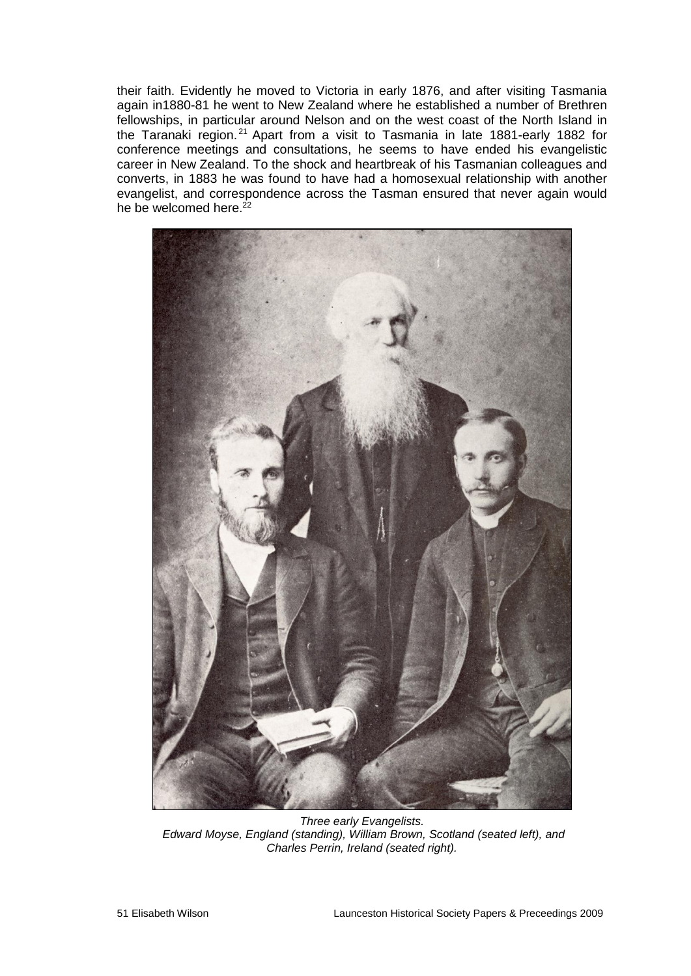their faith. Evidently he moved to Victoria in early 1876, and after visiting Tasmania again in1880-81 he went to New Zealand where he established a number of Brethren fellowships, in particular around Nelson and on the west coast of the North Island in the Taranaki region.<sup>21</sup> Apart from a visit to Tasmania in late 1881-early 1882 for conference meetings and consultations, he seems to have ended his evangelistic career in New Zealand. To the shock and heartbreak of his Tasmanian colleagues and converts, in 1883 he was found to have had a homosexual relationship with another evangelist, and correspondence across the Tasman ensured that never again would he be welcomed here.<sup>22</sup>



*Three early Evangelists. Edward Moyse, England (standing), William Brown, Scotland (seated left), and Charles Perrin, Ireland (seated right).*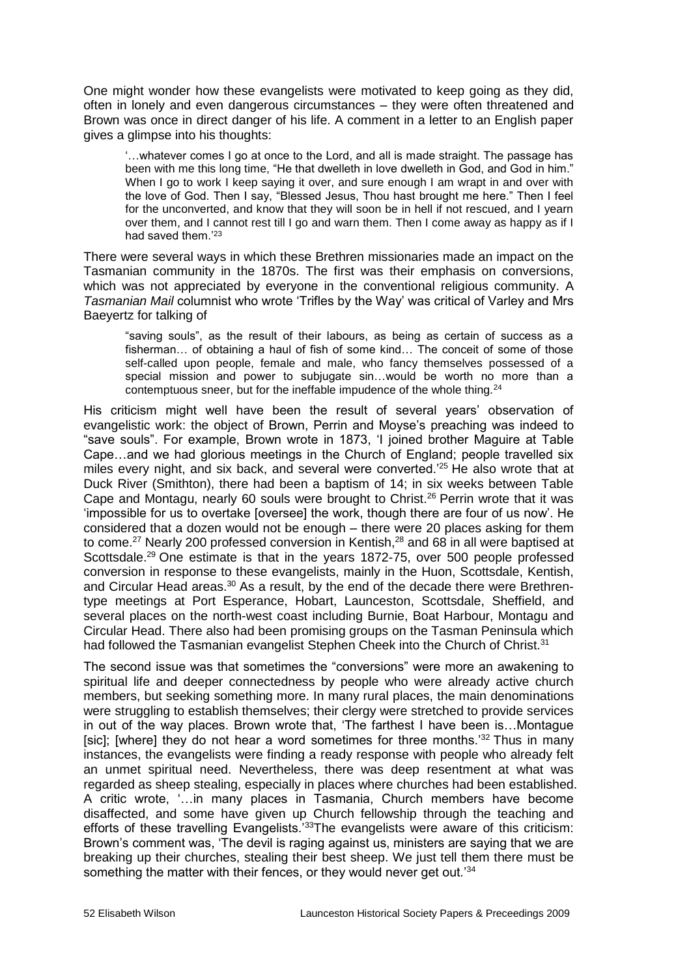One might wonder how these evangelists were motivated to keep going as they did, often in lonely and even dangerous circumstances – they were often threatened and Brown was once in direct danger of his life. A comment in a letter to an English paper gives a glimpse into his thoughts:

'…whatever comes I go at once to the Lord, and all is made straight. The passage has been with me this long time, "He that dwelleth in love dwelleth in God, and God in him." When I go to work I keep saying it over, and sure enough I am wrapt in and over with the love of God. Then I say, "Blessed Jesus, Thou hast brought me here." Then I feel for the unconverted, and know that they will soon be in hell if not rescued, and I yearn over them, and I cannot rest till I go and warn them. Then I come away as happy as if I had saved them.'<sup>23</sup>

There were several ways in which these Brethren missionaries made an impact on the Tasmanian community in the 1870s. The first was their emphasis on conversions, which was not appreciated by everyone in the conventional religious community. A *Tasmanian Mail* columnist who wrote 'Trifles by the Way' was critical of Varley and Mrs Baeyertz for talking of

"saving souls", as the result of their labours, as being as certain of success as a fisherman… of obtaining a haul of fish of some kind… The conceit of some of those self-called upon people, female and male, who fancy themselves possessed of a special mission and power to subjugate sin...would be worth no more than a contemptuous sneer, but for the ineffable impudence of the whole thing.<sup>24</sup>

His criticism might well have been the result of several years' observation of evangelistic work: the object of Brown, Perrin and Moyse's preaching was indeed to "save souls". For example, Brown wrote in 1873, 'I joined brother Maguire at Table Cape…and we had glorious meetings in the Church of England; people travelled six miles every night, and six back, and several were converted.'<sup>25</sup> He also wrote that at Duck River (Smithton), there had been a baptism of 14; in six weeks between Table Cape and Montagu, nearly 60 souls were brought to Christ.<sup>26</sup> Perrin wrote that it was 'impossible for us to overtake [oversee] the work, though there are four of us now'. He considered that a dozen would not be enough – there were 20 places asking for them to come.<sup>27</sup> Nearly 200 professed conversion in Kentish,<sup>28</sup> and 68 in all were baptised at Scottsdale.<sup>29</sup> One estimate is that in the years 1872-75, over 500 people professed conversion in response to these evangelists, mainly in the Huon, Scottsdale, Kentish, and Circular Head areas.<sup>30</sup> As a result, by the end of the decade there were Brethrentype meetings at Port Esperance, Hobart, Launceston, Scottsdale, Sheffield, and several places on the north-west coast including Burnie, Boat Harbour, Montagu and Circular Head. There also had been promising groups on the Tasman Peninsula which had followed the Tasmanian evangelist Stephen Cheek into the Church of Christ.<sup>31</sup>

The second issue was that sometimes the "conversions" were more an awakening to spiritual life and deeper connectedness by people who were already active church members, but seeking something more. In many rural places, the main denominations were struggling to establish themselves; their clergy were stretched to provide services in out of the way places. Brown wrote that, 'The farthest I have been is…Montague [sic]; [where] they do not hear a word sometimes for three months.<sup>32</sup> Thus in many instances, the evangelists were finding a ready response with people who already felt an unmet spiritual need. Nevertheless, there was deep resentment at what was regarded as sheep stealing, especially in places where churches had been established. A critic wrote, '…in many places in Tasmania, Church members have become disaffected, and some have given up Church fellowship through the teaching and efforts of these travelling Evangelists.<sup>33</sup>The evangelists were aware of this criticism: Brown's comment was, 'The devil is raging against us, ministers are saying that we are breaking up their churches, stealing their best sheep. We just tell them there must be something the matter with their fences, or they would never get out.<sup>34</sup>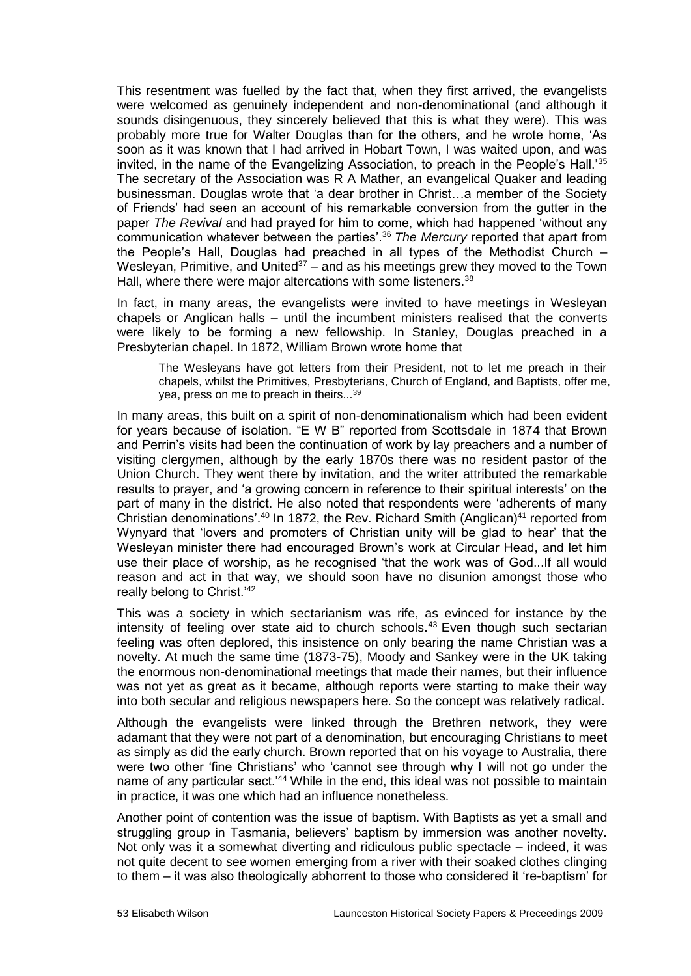This resentment was fuelled by the fact that, when they first arrived, the evangelists were welcomed as genuinely independent and non-denominational (and although it sounds disingenuous, they sincerely believed that this is what they were). This was probably more true for Walter Douglas than for the others, and he wrote home, 'As soon as it was known that I had arrived in Hobart Town, I was waited upon, and was invited, in the name of the Evangelizing Association, to preach in the People's Hall.<sup>'35</sup> The secretary of the Association was R A Mather, an evangelical Quaker and leading businessman. Douglas wrote that 'a dear brother in Christ…a member of the Society of Friends' had seen an account of his remarkable conversion from the gutter in the paper *The Revival* and had prayed for him to come, which had happened 'without any communication whatever between the parties'.<sup>36</sup> *The Mercury* reported that apart from the People's Hall, Douglas had preached in all types of the Methodist Church – Wesleyan, Primitive, and United $37 -$  and as his meetings grew they moved to the Town Hall, where there were major altercations with some listeners.<sup>38</sup>

In fact, in many areas, the evangelists were invited to have meetings in Wesleyan chapels or Anglican halls – until the incumbent ministers realised that the converts were likely to be forming a new fellowship. In Stanley, Douglas preached in a Presbyterian chapel. In 1872, William Brown wrote home that

The Wesleyans have got letters from their President, not to let me preach in their chapels, whilst the Primitives, Presbyterians, Church of England, and Baptists, offer me, yea, press on me to preach in theirs...<sup>39</sup>

In many areas, this built on a spirit of non-denominationalism which had been evident for years because of isolation. "E W B" reported from Scottsdale in 1874 that Brown and Perrin's visits had been the continuation of work by lay preachers and a number of visiting clergymen, although by the early 1870s there was no resident pastor of the Union Church. They went there by invitation, and the writer attributed the remarkable results to prayer, and 'a growing concern in reference to their spiritual interests' on the part of many in the district. He also noted that respondents were 'adherents of many Christian denominations'.<sup>40</sup> In 1872, the Rev. Richard Smith (Anglican)<sup>41</sup> reported from Wynyard that 'lovers and promoters of Christian unity will be glad to hear' that the Wesleyan minister there had encouraged Brown's work at Circular Head, and let him use their place of worship, as he recognised 'that the work was of God...If all would reason and act in that way, we should soon have no disunion amongst those who really belong to Christ.'<sup>42</sup>

This was a society in which sectarianism was rife, as evinced for instance by the intensity of feeling over state aid to church schools.<sup>43</sup> Even though such sectarian feeling was often deplored, this insistence on only bearing the name Christian was a novelty. At much the same time (1873-75), Moody and Sankey were in the UK taking the enormous non-denominational meetings that made their names, but their influence was not yet as great as it became, although reports were starting to make their way into both secular and religious newspapers here. So the concept was relatively radical.

Although the evangelists were linked through the Brethren network, they were adamant that they were not part of a denomination, but encouraging Christians to meet as simply as did the early church. Brown reported that on his voyage to Australia, there were two other 'fine Christians' who 'cannot see through why I will not go under the name of any particular sect.<sup>144</sup> While in the end, this ideal was not possible to maintain in practice, it was one which had an influence nonetheless.

Another point of contention was the issue of baptism. With Baptists as yet a small and struggling group in Tasmania, believers' baptism by immersion was another novelty. Not only was it a somewhat diverting and ridiculous public spectacle – indeed, it was not quite decent to see women emerging from a river with their soaked clothes clinging to them – it was also theologically abhorrent to those who considered it 're-baptism' for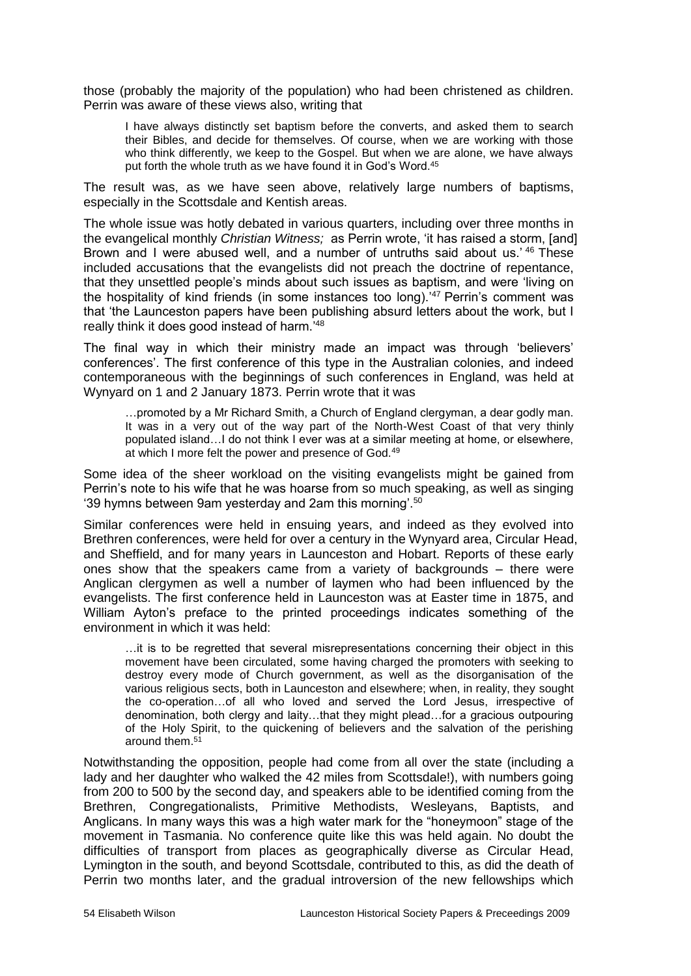those (probably the majority of the population) who had been christened as children. Perrin was aware of these views also, writing that

I have always distinctly set baptism before the converts, and asked them to search their Bibles, and decide for themselves. Of course, when we are working with those who think differently, we keep to the Gospel. But when we are alone, we have always put forth the whole truth as we have found it in God's Word.<sup>45</sup>

The result was, as we have seen above, relatively large numbers of baptisms, especially in the Scottsdale and Kentish areas.

The whole issue was hotly debated in various quarters, including over three months in the evangelical monthly *Christian Witness;* as Perrin wrote, 'it has raised a storm, [and] Brown and I were abused well, and a number of untruths said about us.<sup>'46</sup> These included accusations that the evangelists did not preach the doctrine of repentance, that they unsettled people's minds about such issues as baptism, and were 'living on the hospitality of kind friends (in some instances too long).<sup>47</sup> Perrin's comment was that 'the Launceston papers have been publishing absurd letters about the work, but I really think it does good instead of harm.'<sup>48</sup>

The final way in which their ministry made an impact was through 'believers' conferences'. The first conference of this type in the Australian colonies, and indeed contemporaneous with the beginnings of such conferences in England, was held at Wynyard on 1 and 2 January 1873. Perrin wrote that it was

…promoted by a Mr Richard Smith, a Church of England clergyman, a dear godly man. It was in a very out of the way part of the North-West Coast of that very thinly populated island…I do not think I ever was at a similar meeting at home, or elsewhere, at which I more felt the power and presence of God.<sup>49</sup>

Some idea of the sheer workload on the visiting evangelists might be gained from Perrin's note to his wife that he was hoarse from so much speaking, as well as singing '39 hymns between 9am yesterday and 2am this morning'.<sup>50</sup>

Similar conferences were held in ensuing years, and indeed as they evolved into Brethren conferences, were held for over a century in the Wynyard area, Circular Head, and Sheffield, and for many years in Launceston and Hobart. Reports of these early ones show that the speakers came from a variety of backgrounds – there were Anglican clergymen as well a number of laymen who had been influenced by the evangelists. The first conference held in Launceston was at Easter time in 1875, and William Ayton's preface to the printed proceedings indicates something of the environment in which it was held:

…it is to be regretted that several misrepresentations concerning their object in this movement have been circulated, some having charged the promoters with seeking to destroy every mode of Church government, as well as the disorganisation of the various religious sects, both in Launceston and elsewhere; when, in reality, they sought the co-operation…of all who loved and served the Lord Jesus, irrespective of denomination, both clergy and laity…that they might plead…for a gracious outpouring of the Holy Spirit, to the quickening of believers and the salvation of the perishing around them.<sup>51</sup>

Notwithstanding the opposition, people had come from all over the state (including a lady and her daughter who walked the 42 miles from Scottsdale!), with numbers going from 200 to 500 by the second day, and speakers able to be identified coming from the Brethren, Congregationalists, Primitive Methodists, Wesleyans, Baptists, and Anglicans. In many ways this was a high water mark for the "honeymoon" stage of the movement in Tasmania. No conference quite like this was held again. No doubt the difficulties of transport from places as geographically diverse as Circular Head, Lymington in the south, and beyond Scottsdale, contributed to this, as did the death of Perrin two months later, and the gradual introversion of the new fellowships which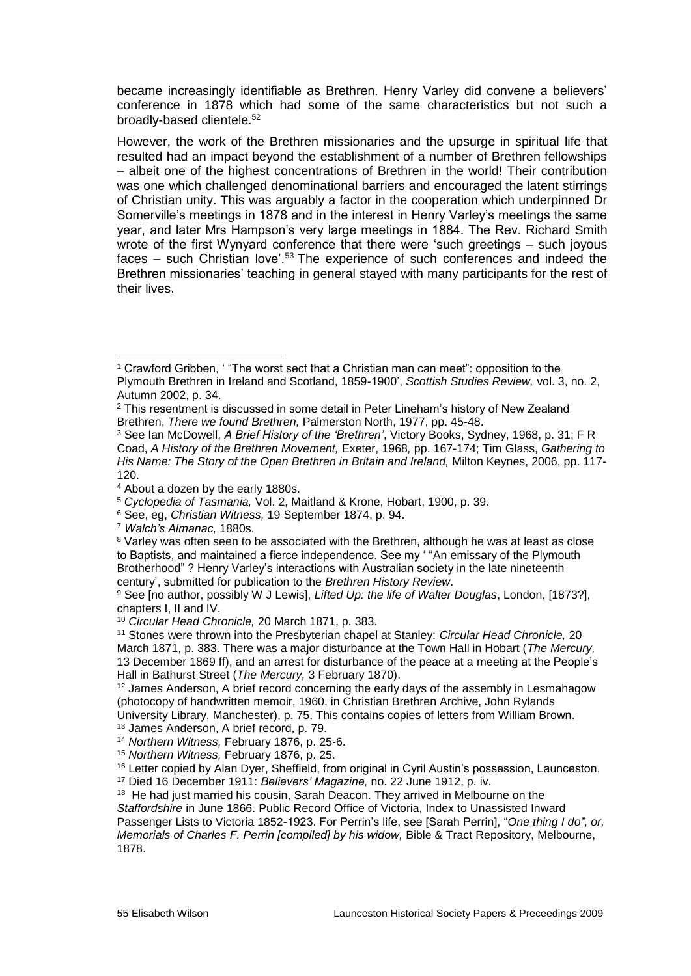became increasingly identifiable as Brethren. Henry Varley did convene a believers' conference in 1878 which had some of the same characteristics but not such a broadly-based clientele.<sup>52</sup>

However, the work of the Brethren missionaries and the upsurge in spiritual life that resulted had an impact beyond the establishment of a number of Brethren fellowships – albeit one of the highest concentrations of Brethren in the world! Their contribution was one which challenged denominational barriers and encouraged the latent stirrings of Christian unity. This was arguably a factor in the cooperation which underpinned Dr Somerville's meetings in 1878 and in the interest in Henry Varley's meetings the same year, and later Mrs Hampson's very large meetings in 1884. The Rev. Richard Smith wrote of the first Wynyard conference that there were 'such greetings – such joyous faces – such Christian love'.<sup>53</sup> The experience of such conferences and indeed the Brethren missionaries' teaching in general stayed with many participants for the rest of their lives.

<sup>7</sup> *Walch's Almanac,* 1880s.

-

<sup>&</sup>lt;sup>1</sup> Crawford Gribben, ' "The worst sect that a Christian man can meet": opposition to the Plymouth Brethren in Ireland and Scotland, 1859-1900', *Scottish Studies Review,* vol. 3, no. 2, Autumn 2002, p. 34.

<sup>&</sup>lt;sup>2</sup> This resentment is discussed in some detail in Peter Lineham's history of New Zealand Brethren, *There we found Brethren,* Palmerston North, 1977, pp. 45-48.

<sup>3</sup> See Ian McDowell, *A Brief History of the 'Brethren'*, Victory Books, Sydney, 1968, p. 31; F R Coad, *A History of the Brethren Movement,* Exeter, 1968*,* pp. 167-174; Tim Glass, *Gathering to His Name: The Story of the Open Brethren in Britain and Ireland,* Milton Keynes, 2006, pp. 117- 120.

<sup>4</sup> About a dozen by the early 1880s.

<sup>5</sup> *Cyclopedia of Tasmania,* Vol. 2, Maitland & Krone, Hobart, 1900, p. 39.

<sup>6</sup> See, eg, *Christian Witness,* 19 September 1874, p. 94.

<sup>&</sup>lt;sup>8</sup> Varley was often seen to be associated with the Brethren, although he was at least as close to Baptists, and maintained a fierce independence. See my ' "An emissary of the Plymouth Brotherhood" ? Henry Varley's interactions with Australian society in the late nineteenth century', submitted for publication to the *Brethren History Review*.

<sup>9</sup> See [no author, possibly W J Lewis], *Lifted Up: the life of Walter Douglas*, London, [1873?], chapters I, II and IV.

<sup>10</sup> *Circular Head Chronicle,* 20 March 1871, p. 383.

<sup>11</sup> Stones were thrown into the Presbyterian chapel at Stanley: *Circular Head Chronicle,* 20 March 1871, p. 383. There was a major disturbance at the Town Hall in Hobart (*The Mercury,*  13 December 1869 ff), and an arrest for disturbance of the peace at a meeting at the People's Hall in Bathurst Street (*The Mercury,* 3 February 1870).

 $12$  James Anderson, A brief record concerning the early days of the assembly in Lesmahagow (photocopy of handwritten memoir, 1960, in Christian Brethren Archive, John Rylands University Library, Manchester), p. 75. This contains copies of letters from William Brown.

<sup>13</sup> James Anderson, A brief record, p. 79.

<sup>14</sup> *Northern Witness,* February 1876, p. 25-6.

<sup>15</sup> *Northern Witness,* February 1876, p. 25.

<sup>16</sup> Letter copied by Alan Dyer, Sheffield, from original in Cyril Austin's possession, Launceston. <sup>17</sup> Died 16 December 1911: *Believers' Magazine,* no. 22 June 1912, p. iv.

<sup>&</sup>lt;sup>18</sup> He had just married his cousin, Sarah Deacon. They arrived in Melbourne on the *Staffordshire* in June 1866. Public Record Office of Victoria, Index to Unassisted Inward Passenger Lists to Victoria 1852-1923. For Perrin's life, see [Sarah Perrin], "*[One thing I do", or,](http://catalogue.slv.vic.gov.au/vwebv/holdingsInfo?searchId=1215&recCount=20&recPointer=0&bibId=1046166)  Memorials of Charles F. Perrin [\[compiled\] by his widow,](http://catalogue.slv.vic.gov.au/vwebv/holdingsInfo?searchId=1215&recCount=20&recPointer=0&bibId=1046166)* Bible & Tract Repository, Melbourne, [1878.](http://catalogue.slv.vic.gov.au/vwebv/holdingsInfo?searchId=1215&recCount=20&recPointer=0&bibId=1046166)